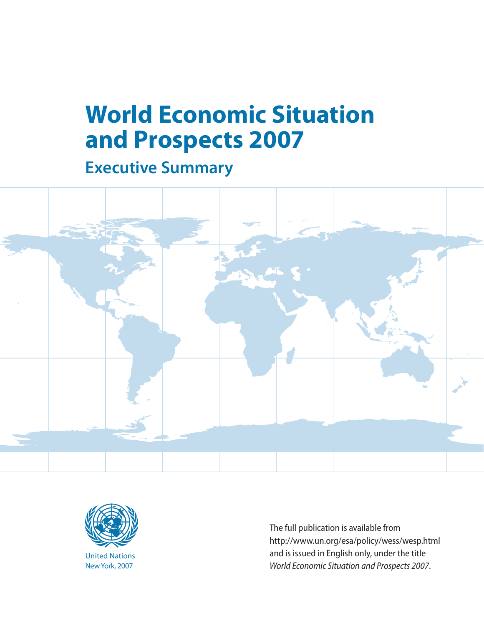# **World Economic Situation and Prospects 2007**

**Executive Summary** 





The full publication is available from<br>http://www.un.org/esa/policy/wess/wesp.html United Nations and is issued in English only, under the title NewYork, 2007 *World Economic Situation and Prospects 2007*.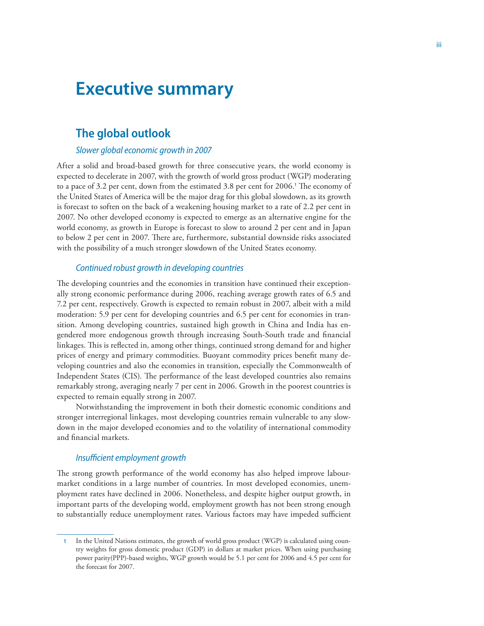# **Executive summary**

# **The global outlook**

#### *Slower global economic growth in 2007*

After a solid and broad-based growth for three consecutive years, the world economy is expected to decelerate in 2007, with the growth of world gross product (WGP) moderating to a pace of 3.2 per cent, down from the estimated 3.8 per cent for 2006. The economy of the United States of America will be the major drag for this global slowdown, as its growth is forecast to soften on the back of a weakening housing market to a rate of 2.2 per cent in 2007. No other developed economy is expected to emerge as an alternative engine for the world economy, as growth in Europe is forecast to slow to around 2 per cent and in Japan to below 2 per cent in 2007. There are, furthermore, substantial downside risks associated with the possibility of a much stronger slowdown of the United States economy.

#### *Continued robust growth in developing countries*

The developing countries and the economies in transition have continued their exceptionally strong economic performance during 2006, reaching average growth rates of 6.5 and 7.2 per cent, respectively. Growth is expected to remain robust in 2007, albeit with a mild moderation: 5.9 per cent for developing countries and 6.5 per cent for economies in transition. Among developing countries, sustained high growth in China and India has engendered more endogenous growth through increasing South-South trade and financial linkages. This is reflected in, among other things, continued strong demand for and higher prices of energy and primary commodities. Buoyant commodity prices benefit many developing countries and also the economies in transition, especially the Commonwealth of Independent States (CIS). The performance of the least developed countries also remains remarkably strong, averaging nearly 7 per cent in 2006. Growth in the poorest countries is expected to remain equally strong in 2007.

Notwithstanding the improvement in both their domestic economic conditions and stronger interregional linkages, most developing countries remain vulnerable to any slowdown in the major developed economies and to the volatility of international commodity and financial markets.

#### *Insufficient employment growth*

The strong growth performance of the world economy has also helped improve labourmarket conditions in a large number of countries. In most developed economies, unemployment rates have declined in 2006. Nonetheless, and despite higher output growth, in important parts of the developing world, employment growth has not been strong enough to substantially reduce unemployment rates. Various factors may have impeded sufficient

In the United Nations estimates, the growth of world gross product (WGP) is calculated using country weights for gross domestic product (GDP) in dollars at market prices. When using purchasing power parity(PPP)-based weights, WGP growth would be 5.1 per cent for 2006 and 4.5 per cent for the forecast for 2007.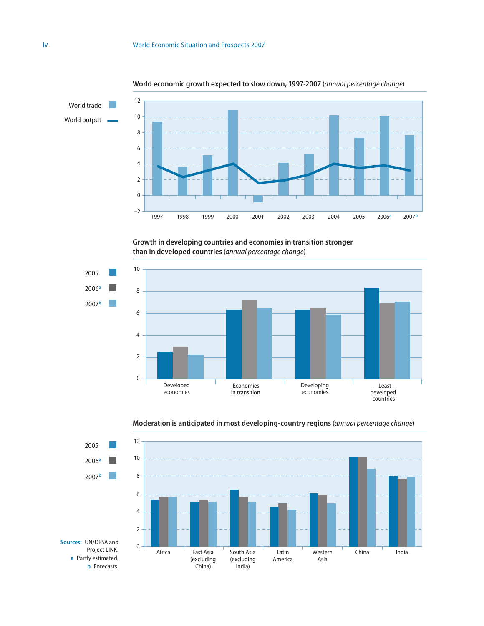

#### **World economic growth expected to slow down, 997-2007** (*annual percentage change*)

**Growth in developing countries and economies in transition stronger than in developed countries** (*annual percentage change*)





#### **Moderation is anticipated in most developing-country regions** (*annual percentage change*)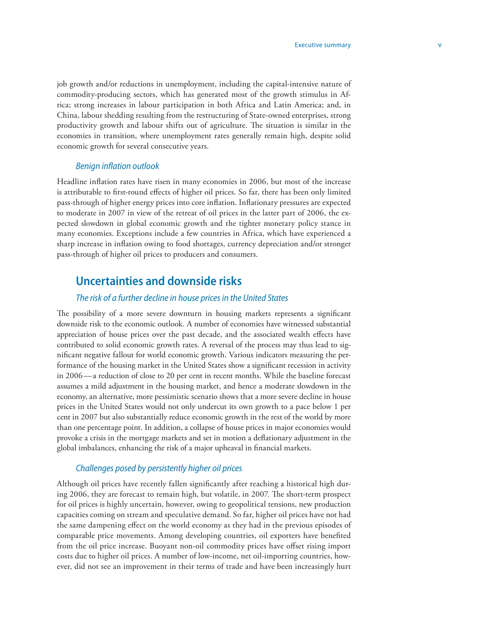job growth and/or reductions in unemployment, including the capital-intensive nature of commodity-producing sectors, which has generated most of the growth stimulus in Africa; strong increases in labour participation in both Africa and Latin America; and, in China, labour shedding resulting from the restructuring of State-owned enterprises, strong productivity growth and labour shifts out of agriculture. The situation is similar in the economies in transition, where unemployment rates generally remain high, despite solid economic growth for several consecutive years.

#### *Benign inflation outlook*

Headline inflation rates have risen in many economies in 2006, but most of the increase is attributable to first-round effects of higher oil prices. So far, there has been only limited pass-through of higher energy prices into core inflation. Inflationary pressures are expected to moderate in 2007 in view of the retreat of oil prices in the latter part of 2006, the expected slowdown in global economic growth and the tighter monetary policy stance in many economies. Exceptions include a few countries in Africa, which have experienced a sharp increase in inflation owing to food shortages, currency depreciation and/or stronger pass-through of higher oil prices to producers and consumers.

# **Uncertainties and downside risks**

#### *The risk of a further decline in house prices in the United States*

The possibility of a more severe downturn in housing markets represents a significant downside risk to the economic outlook. A number of economies have witnessed substantial appreciation of house prices over the past decade, and the associated wealth effects have contributed to solid economic growth rates. A reversal of the process may thus lead to significant negative fallout for world economic growth. Various indicators measuring the performance of the housing market in the United States show a significant recession in activity in 2006 —a reduction of close to 20 per cent in recent months. While the baseline forecast assumes a mild adjustment in the housing market, and hence a moderate slowdown in the economy, an alternative, more pessimistic scenario shows that a more severe decline in house prices in the United States would not only undercut its own growth to a pace below 1 per cent in 2007 but also substantially reduce economic growth in the rest of the world by more than one percentage point. In addition, a collapse of house prices in major economies would provoke a crisis in the mortgage markets and set in motion a deflationary adjustment in the global imbalances, enhancing the risk of a major upheaval in financial markets.

#### *Challenges posed by persistently higher oil prices*

Although oil prices have recently fallen significantly after reaching a historical high during 2006, they are forecast to remain high, but volatile, in 2007. The short-term prospect for oil prices is highly uncertain, however, owing to geopolitical tensions, new production capacities coming on stream and speculative demand. So far, higher oil prices have not had the same dampening effect on the world economy as they had in the previous episodes of comparable price movements. Among developing countries, oil exporters have benefited from the oil price increase. Buoyant non-oil commodity prices have offset rising import costs due to higher oil prices. A number of low-income, net oil-importing countries, however, did not see an improvement in their terms of trade and have been increasingly hurt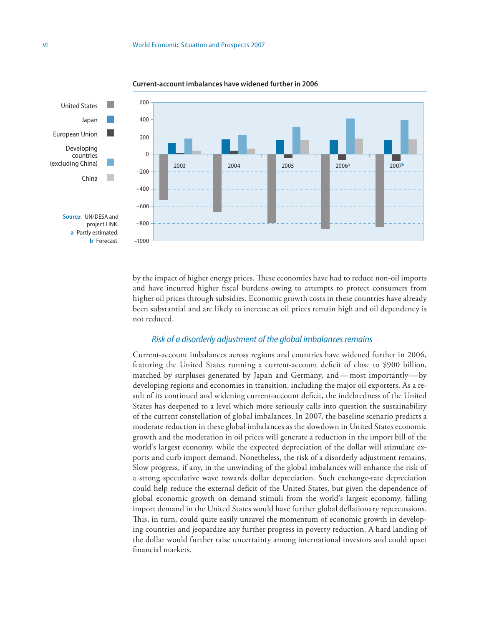

**Current-account imbalances have widened further in 2006** 

by the impact of higher energy prices. These economies have had to reduce non-oil imports and have incurred higher fiscal burdens owing to attempts to protect consumers from higher oil prices through subsidies. Economic growth costs in these countries have already been substantial and are likely to increase as oil prices remain high and oil dependency is not reduced.

#### *Risk of a disorderly adjustment of the global imbalances remains*

Current-account imbalances across regions and countries have widened further in 2006, featuring the United States running a current-account deficit of close to \$900 billion, matched by surpluses generated by Japan and Germany, and — most importantly — by developing regions and economies in transition, including the major oil exporters. As a result of its continued and widening current-account deficit, the indebtedness of the United States has deepened to a level which more seriously calls into question the sustainability of the current constellation of global imbalances. In 2007, the baseline scenario predicts a moderate reduction in these global imbalances as the slowdown in United States economic growth and the moderation in oil prices will generate a reduction in the import bill of the world's largest economy, while the expected depreciation of the dollar will stimulate exports and curb import demand. Nonetheless, the risk of a disorderly adjustment remains. Slow progress, if any, in the unwinding of the global imbalances will enhance the risk of a strong speculative wave towards dollar depreciation. Such exchange-rate depreciation could help reduce the external deficit of the United States, but given the dependence of global economic growth on demand stimuli from the world's largest economy, falling import demand in the United States would have further global deflationary repercussions. This, in turn, could quite easily unravel the momentum of economic growth in developing countries and jeopardize any further progress in poverty reduction. A hard landing of the dollar would further raise uncertainty among international investors and could upset financial markets.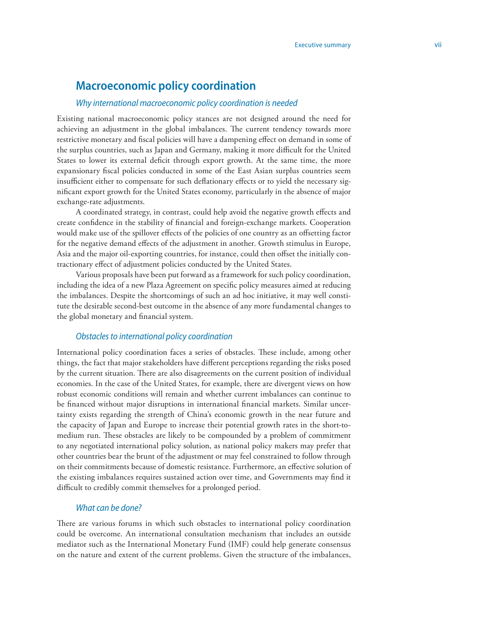# **Macroeconomic policy coordination**

#### *Why international macroeconomic policy coordination is needed*

Existing national macroeconomic policy stances are not designed around the need for achieving an adjustment in the global imbalances. The current tendency towards more restrictive monetary and fiscal policies will have a dampening effect on demand in some of the surplus countries, such as Japan and Germany, making it more difficult for the United States to lower its external deficit through export growth. At the same time, the more expansionary fiscal policies conducted in some of the East Asian surplus countries seem insufficient either to compensate for such deflationary effects or to yield the necessary significant export growth for the United States economy, particularly in the absence of major exchange-rate adjustments.

A coordinated strategy, in contrast, could help avoid the negative growth effects and create confidence in the stability of financial and foreign-exchange markets. Cooperation would make use of the spillover effects of the policies of one country as an offsetting factor for the negative demand effects of the adjustment in another. Growth stimulus in Europe, Asia and the major oil-exporting countries, for instance, could then offset the initially contractionary effect of adjustment policies conducted by the United States.

Various proposals have been put forward as a framework for such policy coordination, including the idea of a new Plaza Agreement on specific policy measures aimed at reducing the imbalances. Despite the shortcomings of such an ad hoc initiative, it may well constitute the desirable second-best outcome in the absence of any more fundamental changes to the global monetary and financial system.

#### *Obstacles to international policy coordination*

International policy coordination faces a series of obstacles. These include, among other things, the fact that major stakeholders have different perceptions regarding the risks posed by the current situation. There are also disagreements on the current position of individual economies. In the case of the United States, for example, there are divergent views on how robust economic conditions will remain and whether current imbalances can continue to be financed without major disruptions in international financial markets. Similar uncertainty exists regarding the strength of China's economic growth in the near future and the capacity of Japan and Europe to increase their potential growth rates in the short-tomedium run. These obstacles are likely to be compounded by a problem of commitment to any negotiated international policy solution, as national policy makers may prefer that other countries bear the brunt of the adjustment or may feel constrained to follow through on their commitments because of domestic resistance. Furthermore, an effective solution of the existing imbalances requires sustained action over time, and Governments may find it difficult to credibly commit themselves for a prolonged period.

#### *What can be done?*

There are various forums in which such obstacles to international policy coordination could be overcome. An international consultation mechanism that includes an outside mediator such as the International Monetary Fund (IMF) could help generate consensus on the nature and extent of the current problems. Given the structure of the imbalances,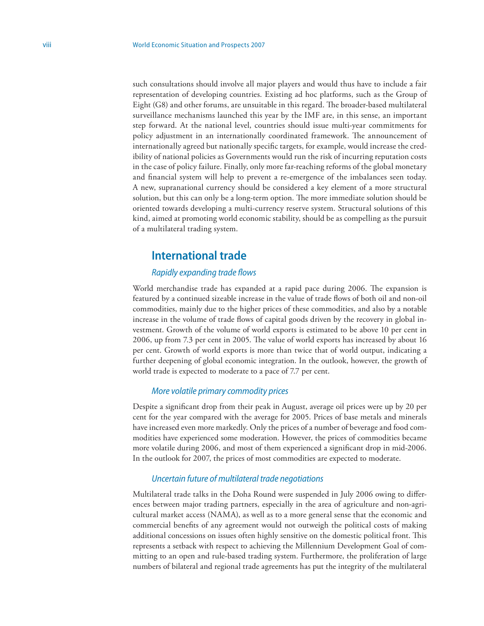such consultations should involve all major players and would thus have to include a fair representation of developing countries. Existing ad hoc platforms, such as the Group of Eight (G8) and other forums, are unsuitable in this regard. The broader-based multilateral surveillance mechanisms launched this year by the IMF are, in this sense, an important step forward. At the national level, countries should issue multi-year commitments for policy adjustment in an internationally coordinated framework. The announcement of internationally agreed but nationally specific targets, for example, would increase the credibility of national policies as Governments would run the risk of incurring reputation costs in the case of policy failure. Finally, only more far-reaching reforms of the global monetary and financial system will help to prevent a re-emergence of the imbalances seen today. A new, supranational currency should be considered a key element of a more structural solution, but this can only be a long-term option. The more immediate solution should be oriented towards developing a multi-currency reserve system. Structural solutions of this kind, aimed at promoting world economic stability, should be as compelling as the pursuit of a multilateral trading system.

### **International trade**

#### *Rapidly expanding trade flows*

World merchandise trade has expanded at a rapid pace during 2006. The expansion is featured by a continued sizeable increase in the value of trade flows of both oil and non-oil commodities, mainly due to the higher prices of these commodities, and also by a notable increase in the volume of trade flows of capital goods driven by the recovery in global investment. Growth of the volume of world exports is estimated to be above 10 per cent in 2006, up from 7.3 per cent in 2005. The value of world exports has increased by about 16 per cent. Growth of world exports is more than twice that of world output, indicating a further deepening of global economic integration. In the outlook, however, the growth of world trade is expected to moderate to a pace of 7.7 per cent.

#### *More volatile primary commodity prices*

Despite a significant drop from their peak in August, average oil prices were up by 20 per cent for the year compared with the average for 2005. Prices of base metals and minerals have increased even more markedly. Only the prices of a number of beverage and food commodities have experienced some moderation. However, the prices of commodities became more volatile during 2006, and most of them experienced a significant drop in mid-2006. In the outlook for 2007, the prices of most commodities are expected to moderate.

#### *Uncertain future of multilateral trade negotiations*

Multilateral trade talks in the Doha Round were suspended in July 2006 owing to differences between major trading partners, especially in the area of agriculture and non-agricultural market access (NAMA), as well as to a more general sense that the economic and commercial benefits of any agreement would not outweigh the political costs of making additional concessions on issues often highly sensitive on the domestic political front. This represents a setback with respect to achieving the Millennium Development Goal of committing to an open and rule-based trading system. Furthermore, the proliferation of large numbers of bilateral and regional trade agreements has put the integrity of the multilateral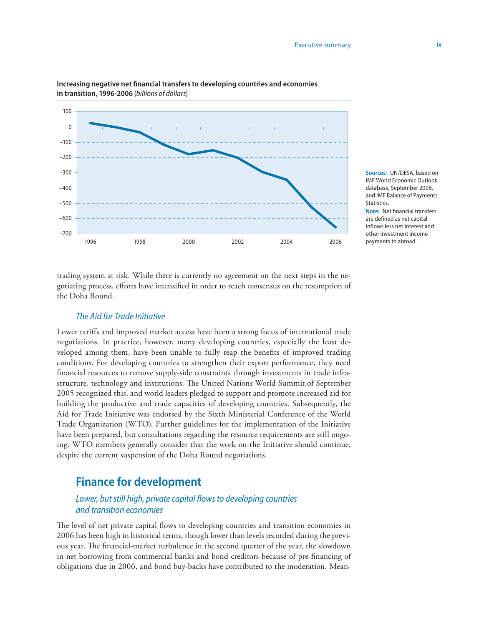

**Increasing negative net financial transfers to developing countries and economies in transition, 996-2006** (*billions of dollars*)

> **Sources:** UN/DESA, based on IMF World Economic Outlook database, September 2006, and IMF Balance of Payments **Statistics**

**Note:** Net financial transfers are defined as net capital inflows less net interest and other investment income payments to abroad.

trading system at risk. While there is currently no agreement on the next steps in the negotiating process, efforts have intensified in order to reach consensus on the resumption of the Doha Round.

#### *The Aid for Trade Initiative*

Lower tariffs and improved market access have been a strong focus of international trade negotiations. In practice, however, many developing countries, especially the least developed among them, have been unable to fully reap the benefits of improved trading conditions. For developing countries to strengthen their export performance, they need financial resources to remove supply-side constraints through investments in trade infrastructure, technology and institutions. The United Nations World Summit of September 2005 recognized this, and world leaders pledged to support and promote increased aid for building the productive and trade capacities of developing countries. Subsequently, the Aid for Trade Initiative was endorsed by the Sixth Ministerial Conference of the World Trade Organization (WTO). Further guidelines for the implementation of the Initiative have been prepared, but consultations regarding the resource requirements are still ongoing. WTO members generally consider that the work on the Initiative should continue, despite the current suspension of the Doha Round negotiations.

# **Finance for development**

#### *Lower, but still high, private capital flows to developing countries and transition economies*

The level of net private capital flows to developing countries and transition economies in 2006 has been high in historical terms, though lower than levels recorded during the previous year. The financial-market turbulence in the second quarter of the year, the slowdown in net borrowing from commercial banks and bond creditors because of pre-financing of obligations due in 2006, and bond buy-backs have contributed to the moderation. Mean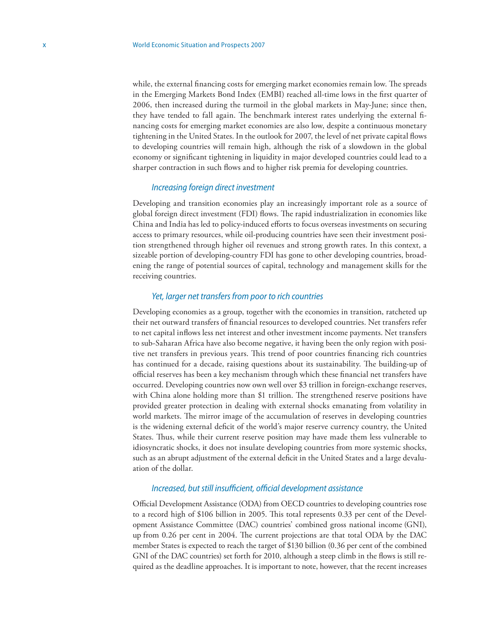while, the external financing costs for emerging market economies remain low. The spreads in the Emerging Markets Bond Index (EMBI) reached all-time lows in the first quarter of 2006, then increased during the turmoil in the global markets in May-June; since then, they have tended to fall again. The benchmark interest rates underlying the external financing costs for emerging market economies are also low, despite a continuous monetary tightening in the United States. In the outlook for 2007, the level of net private capital flows to developing countries will remain high, although the risk of a slowdown in the global economy or significant tightening in liquidity in major developed countries could lead to a sharper contraction in such flows and to higher risk premia for developing countries.

#### *Increasing foreign direct investment*

Developing and transition economies play an increasingly important role as a source of global foreign direct investment (FDI) flows. The rapid industrialization in economies like China and India has led to policy-induced efforts to focus overseas investments on securing access to primary resources, while oil-producing countries have seen their investment position strengthened through higher oil revenues and strong growth rates. In this context, a sizeable portion of developing-country FDI has gone to other developing countries, broadening the range of potential sources of capital, technology and management skills for the receiving countries.

#### *Yet, larger net transfers from poor to rich countries*

Developing economies as a group, together with the economies in transition, ratcheted up their net outward transfers of financial resources to developed countries. Net transfers refer to net capital inflows less net interest and other investment income payments. Net transfers to sub-Saharan Africa have also become negative, it having been the only region with positive net transfers in previous years. This trend of poor countries financing rich countries has continued for a decade, raising questions about its sustainability. The building-up of official reserves has been a key mechanism through which these financial net transfers have occurred. Developing countries now own well over \$3 trillion in foreign-exchange reserves, with China alone holding more than \$1 trillion. The strengthened reserve positions have provided greater protection in dealing with external shocks emanating from volatility in world markets. The mirror image of the accumulation of reserves in developing countries is the widening external deficit of the world's major reserve currency country, the United States. Thus, while their current reserve position may have made them less vulnerable to idiosyncratic shocks, it does not insulate developing countries from more systemic shocks, such as an abrupt adjustment of the external deficit in the United States and a large devaluation of the dollar.

#### *Increased, but still insufficient, official development assistance*

Official Development Assistance (ODA) from OECD countries to developing countries rose to a record high of \$106 billion in 2005. This total represents 0.33 per cent of the Development Assistance Committee (DAC) countries' combined gross national income (GNI), up from 0.26 per cent in 2004. The current projections are that total ODA by the DAC member States is expected to reach the target of \$130 billion (0.36 per cent of the combined GNI of the DAC countries) set forth for 2010, although a steep climb in the flows is still required as the deadline approaches. It is important to note, however, that the recent increases